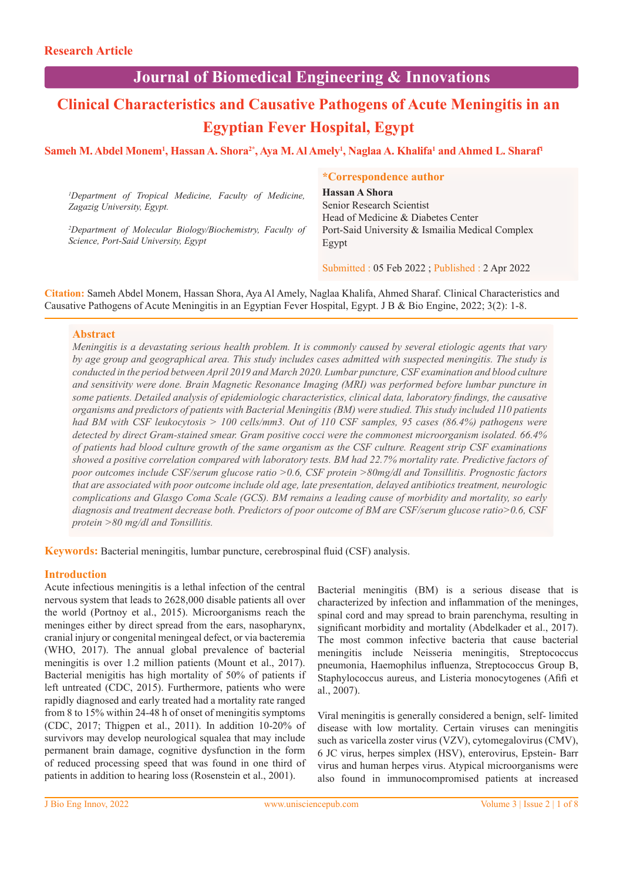## **Journal of Biomedical Engineering & Innovations**

# **Clinical Characteristics and Causative Pathogens of Acute Meningitis in an Egyptian Fever Hospital, Egypt**

## $\bf{S}$ ameh M. Abdel Monem<sup>1</sup>, Hassan A. Shora<sup>2\*</sup>, Aya M. Al Amely<sup>1</sup>, Naglaa A. Khalifa<sup>1</sup> and Ahmed L. Sharaf<sup>1</sup>

|                                                                       | <i>*Correspondence author</i>                   |
|-----------------------------------------------------------------------|-------------------------------------------------|
| <sup>1</sup> Department of Tropical Medicine, Faculty of Medicine,    | Hassan A Shora                                  |
| Zagazig University, Egypt.                                            | Senior Research Scientist                       |
|                                                                       | Head of Medicine & Diabetes Center              |
| <sup>2</sup> Department of Molecular Biology/Biochemistry, Faculty of | Port-Said University & Ismailia Medical Complex |
| Science, Port-Said University, Egypt                                  | Egypt                                           |
|                                                                       |                                                 |

Submitted : 05 Feb 2022 ; Published : 2 Apr 2022

**Citation:** Sameh Abdel Monem, Hassan Shora, Aya Al Amely, Naglaa Khalifa, Ahmed Sharaf. Clinical Characteristics and Causative Pathogens of Acute Meningitis in an Egyptian Fever Hospital, Egypt. J B & Bio Engine, 2022; 3(2): 1-8.

### **Abstract**

*Meningitis is a devastating serious health problem. It is commonly caused by several etiologic agents that vary by age group and geographical area. This study includes cases admitted with suspected meningitis. The study is conducted in the period between April 2019 and March 2020. Lumbar puncture, CSF examination and blood culture and sensitivity were done. Brain Magnetic Resonance Imaging (MRI) was performed before lumbar puncture in some patients. Detailed analysis of epidemiologic characteristics, clinical data, laboratory findings, the causative organisms and predictors of patients with Bacterial Meningitis (BM) were studied. This study included 110 patients had BM with CSF leukocytosis > 100 cells/mm3. Out of 110 CSF samples, 95 cases (86.4%) pathogens were detected by direct Gram-stained smear. Gram positive cocci were the commonest microorganism isolated. 66.4% of patients had blood culture growth of the same organism as the CSF culture. Reagent strip CSF examinations showed a positive correlation compared with laboratory tests. BM had 22.7% mortality rate. Predictive factors of poor outcomes include CSF/serum glucose ratio >0.6, CSF protein >80mg/dl and Tonsillitis. Prognostic factors that are associated with poor outcome include old age, late presentation, delayed antibiotics treatment, neurologic complications and Glasgo Coma Scale (GCS). BM remains a leading cause of morbidity and mortality, so early diagnosis and treatment decrease both. Predictors of poor outcome of BM are CSF/serum glucose ratio>0.6, CSF protein >80 mg/dl and Tonsillitis.* 

**Keywords:** Bacterial meningitis, lumbar puncture, cerebrospinal fluid (CSF) analysis.

## **Introduction**

Acute infectious meningitis is a lethal infection of the central nervous system that leads to 2628,000 disable patients all over the world (Portnoy et al., 2015). Microorganisms reach the meninges either by direct spread from the ears, nasopharynx, cranial injury or congenital meningeal defect, or via bacteremia (WHO, 2017). The annual global prevalence of bacterial meningitis is over 1.2 million patients (Mount et al., 2017). Bacterial menigitis has high mortality of 50% of patients if left untreated (CDC, 2015). Furthermore, patients who were rapidly diagnosed and early treated had a mortality rate ranged from 8 to 15% within 24-48 h of onset of meningitis symptoms (CDC, 2017; Thigpen et al., 2011). In addition 10-20% of survivors may develop neurological squalea that may include permanent brain damage, cognitive dysfunction in the form of reduced processing speed that was found in one third of patients in addition to hearing loss (Rosenstein et al., 2001).

Bacterial meningitis (BM) is a serious disease that is characterized by infection and inflammation of the meninges, spinal cord and may spread to brain parenchyma, resulting in significant morbidity and mortality (Abdelkader et al., 2017). The most common infective bacteria that cause bacterial meningitis include Neisseria meningitis, Streptococcus pneumonia, Haemophilus influenza, Streptococcus Group B, Staphylococcus aureus, and Listeria monocytogenes (Afifi et al., 2007).

Viral meningitis is generally considered a benign, self- limited disease with low mortality. Certain viruses can meningitis such as varicella zoster virus (VZV), cytomegalovirus (CMV), 6 JC virus, herpes simplex (HSV), enterovirus, Epstein- Barr virus and human herpes virus. Atypical microorganisms were also found in immunocompromised patients at increased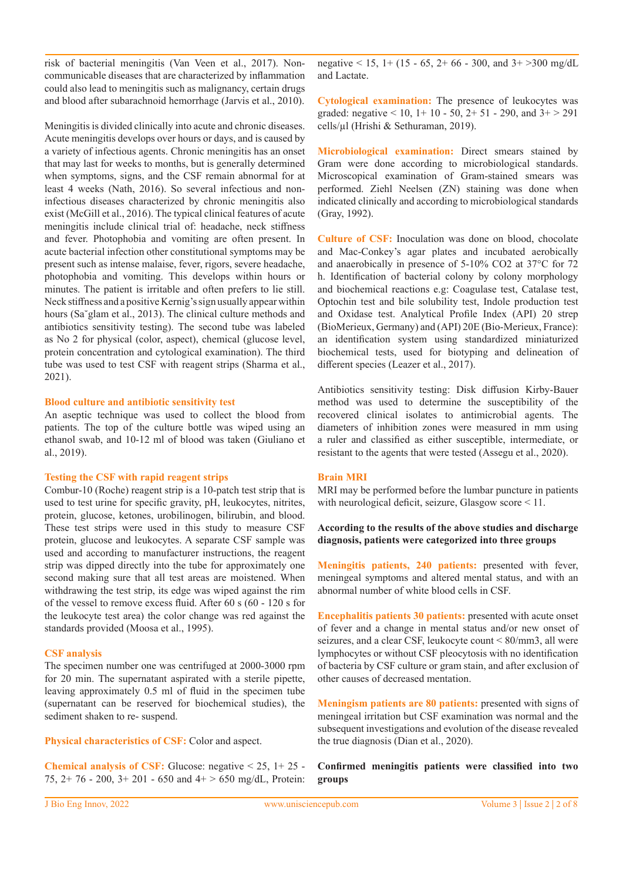risk of bacterial meningitis (Van Veen et al., 2017). Noncommunicable diseases that are characterized by inflammation could also lead to meningitis such as malignancy, certain drugs and blood after subarachnoid hemorrhage (Jarvis et al., 2010).

Meningitis is divided clinically into acute and chronic diseases. Acute meningitis develops over hours or days, and is caused by a variety of infectious agents. Chronic meningitis has an onset that may last for weeks to months, but is generally determined when symptoms, signs, and the CSF remain abnormal for at least 4 weeks (Nath, 2016). So several infectious and noninfectious diseases characterized by chronic meningitis also exist (McGill et al., 2016). The typical clinical features of acute meningitis include clinical trial of: headache, neck stiffness and fever. Photophobia and vomiting are often present. In acute bacterial infection other constitutional symptoms may be present such as intense malaise, fever, rigors, severe headache, photophobia and vomiting. This develops within hours or minutes. The patient is irritable and often prefers to lie still. Neck stiffness and a positive Kernig's sign usually appear within hours (Sa˘glam et al., 2013). The clinical culture methods and antibiotics sensitivity testing). The second tube was labeled as No 2 for physical (color, aspect), chemical (glucose level, protein concentration and cytological examination). The third tube was used to test CSF with reagent strips (Sharma et al., 2021).

#### **Blood culture and antibiotic sensitivity test**

An aseptic technique was used to collect the blood from patients. The top of the culture bottle was wiped using an ethanol swab, and 10-12 ml of blood was taken (Giuliano et al., 2019).

#### **Testing the CSF with rapid reagent strips**

Combur-10 (Roche) reagent strip is a 10-patch test strip that is used to test urine for specific gravity, pH, leukocytes, nitrites, protein, glucose, ketones, urobilinogen, bilirubin, and blood. These test strips were used in this study to measure CSF protein, glucose and leukocytes. A separate CSF sample was used and according to manufacturer instructions, the reagent strip was dipped directly into the tube for approximately one second making sure that all test areas are moistened. When withdrawing the test strip, its edge was wiped against the rim of the vessel to remove excess fluid. After 60 s (60 - 120 s for the leukocyte test area) the color change was red against the standards provided (Moosa et al., 1995).

#### **CSF analysis**

The specimen number one was centrifuged at 2000-3000 rpm for 20 min. The supernatant aspirated with a sterile pipette, leaving approximately 0.5 ml of fluid in the specimen tube (supernatant can be reserved for biochemical studies), the sediment shaken to re- suspend.

**Physical characteristics of CSF:** Color and aspect.

**Chemical analysis of CSF:** Glucose: negative < 25, 1+ 25 - 75,  $2+76 - 200$ ,  $3+201 - 650$  and  $4+ > 650$  mg/dL, Protein: negative < 15, 1+ (15 - 65, 2+ 66 - 300, and  $3+$  >300 mg/dL and Lactate.

**Cytological examination:** The presence of leukocytes was graded: negative  $< 10$ ,  $1+10-50$ ,  $2+51-290$ , and  $3+>291$ cells/µl (Hrishi & Sethuraman, 2019).

**Microbiological examination:** Direct smears stained by Gram were done according to microbiological standards. Microscopical examination of Gram-stained smears was performed. Ziehl Neelsen (ZN) staining was done when indicated clinically and according to microbiological standards (Gray, 1992).

**Culture of CSF:** Inoculation was done on blood, chocolate and Mac-Conkey's agar plates and incubated aerobically and anaerobically in presence of 5-10% CO2 at 37°C for 72 h. Identification of bacterial colony by colony morphology and biochemical reactions e.g: Coagulase test, Catalase test, Optochin test and bile solubility test, Indole production test and Oxidase test. Analytical Profile Index (API) 20 strep (BioMerieux, Germany) and (API) 20E (Bio-Merieux, France): an identification system using standardized miniaturized biochemical tests, used for biotyping and delineation of different species (Leazer et al., 2017).

Antibiotics sensitivity testing: Disk diffusion Kirby-Bauer method was used to determine the susceptibility of the recovered clinical isolates to antimicrobial agents. The diameters of inhibition zones were measured in mm using a ruler and classified as either susceptible, intermediate, or resistant to the agents that were tested (Assegu et al., 2020).

#### **Brain MRI**

MRI may be performed before the lumbar puncture in patients with neurological deficit, seizure, Glasgow score < 11.

#### **According to the results of the above studies and discharge diagnosis, patients were categorized into three groups**

**Meningitis patients, 240 patients:** presented with fever, meningeal symptoms and altered mental status, and with an abnormal number of white blood cells in CSF.

**Encephalitis patients 30 patients:** presented with acute onset of fever and a change in mental status and/or new onset of seizures, and a clear CSF, leukocyte count < 80/mm3, all were lymphocytes or without CSF pleocytosis with no identification of bacteria by CSF culture or gram stain, and after exclusion of other causes of decreased mentation.

**Meningism patients are 80 patients:** presented with signs of meningeal irritation but CSF examination was normal and the subsequent investigations and evolution of the disease revealed the true diagnosis (Dian et al., 2020).

**Confirmed meningitis patients were classified into two groups**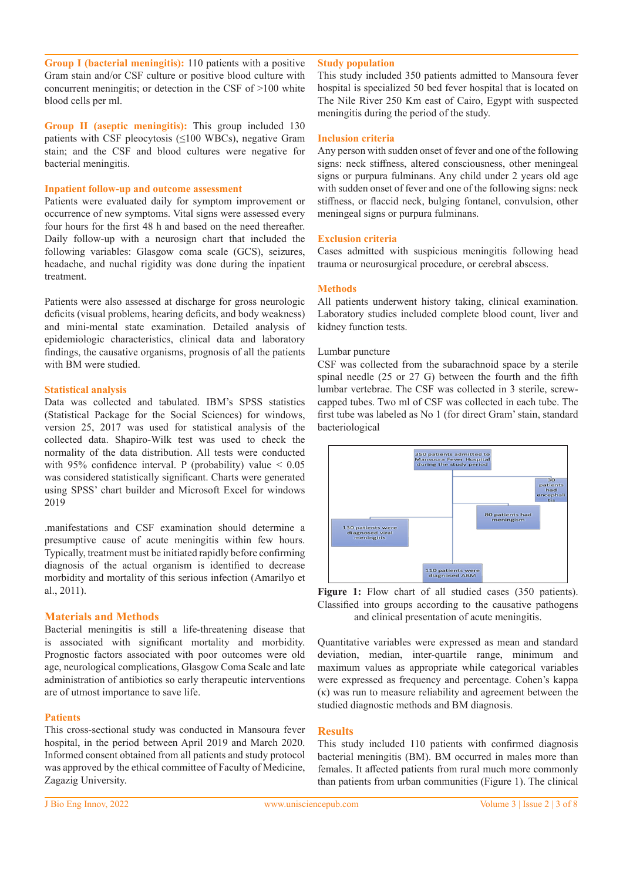**Group I (bacterial meningitis):** 110 patients with a positive Gram stain and/or CSF culture or positive blood culture with concurrent meningitis; or detection in the CSF of >100 white blood cells per ml.

**Group II (aseptic meningitis):** This group included 130 patients with CSF pleocytosis  $(\leq 100$  WBCs), negative Gram stain; and the CSF and blood cultures were negative for bacterial meningitis.

#### **Inpatient follow-up and outcome assessment**

Patients were evaluated daily for symptom improvement or occurrence of new symptoms. Vital signs were assessed every four hours for the first 48 h and based on the need thereafter. Daily follow-up with a neurosign chart that included the following variables: Glasgow coma scale (GCS), seizures, headache, and nuchal rigidity was done during the inpatient treatment.

Patients were also assessed at discharge for gross neurologic deficits (visual problems, hearing deficits, and body weakness) and mini-mental state examination. Detailed analysis of epidemiologic characteristics, clinical data and laboratory findings, the causative organisms, prognosis of all the patients with BM were studied.

#### **Statistical analysis**

Data was collected and tabulated. IBM's SPSS statistics (Statistical Package for the Social Sciences) for windows, version 25, 2017 was used for statistical analysis of the collected data. Shapiro-Wilk test was used to check the normality of the data distribution. All tests were conducted with 95% confidence interval. P (probability) value  $< 0.05$ was considered statistically significant. Charts were generated using SPSS' chart builder and Microsoft Excel for windows 2019

.manifestations and CSF examination should determine a presumptive cause of acute meningitis within few hours. Typically, treatment must be initiated rapidly before confirming diagnosis of the actual organism is identified to decrease morbidity and mortality of this serious infection (Amarilyo et al., 2011).

#### **Materials and Methods**

Bacterial meningitis is still a life-threatening disease that is associated with significant mortality and morbidity. Prognostic factors associated with poor outcomes were old age, neurological complications, Glasgow Coma Scale and late administration of antibiotics so early therapeutic interventions are of utmost importance to save life.

#### **Patients**

This cross-sectional study was conducted in Mansoura fever hospital, in the period between April 2019 and March 2020. Informed consent obtained from all patients and study protocol was approved by the ethical committee of Faculty of Medicine, Zagazig University.

#### **Study population**

This study included 350 patients admitted to Mansoura fever hospital is specialized 50 bed fever hospital that is located on The Nile River 250 Km east of Cairo, Egypt with suspected meningitis during the period of the study.

#### **Inclusion criteria**

Any person with sudden onset of fever and one of the following signs: neck stiffness, altered consciousness, other meningeal signs or purpura fulminans. Any child under 2 years old age with sudden onset of fever and one of the following signs: neck stiffness, or flaccid neck, bulging fontanel, convulsion, other meningeal signs or purpura fulminans.

#### **Exclusion criteria**

Cases admitted with suspicious meningitis following head trauma or neurosurgical procedure, or cerebral abscess.

#### **Methods**

All patients underwent history taking, clinical examination. Laboratory studies included complete blood count, liver and kidney function tests.

#### Lumbar puncture

CSF was collected from the subarachnoid space by a sterile spinal needle (25 or 27 G) between the fourth and the fifth lumbar vertebrae. The CSF was collected in 3 sterile, screwcapped tubes. Two ml of CSF was collected in each tube. The first tube was labeled as No 1 (for direct Gram' stain, standard bacteriological





Quantitative variables were expressed as mean and standard deviation, median, inter-quartile range, minimum and maximum values as appropriate while categorical variables were expressed as frequency and percentage. Cohen's kappa (κ) was run to measure reliability and agreement between the studied diagnostic methods and BM diagnosis.

#### **Results**

This study included 110 patients with confirmed diagnosis bacterial meningitis (BM). BM occurred in males more than females. It affected patients from rural much more commonly than patients from urban communities (Figure 1). The clinical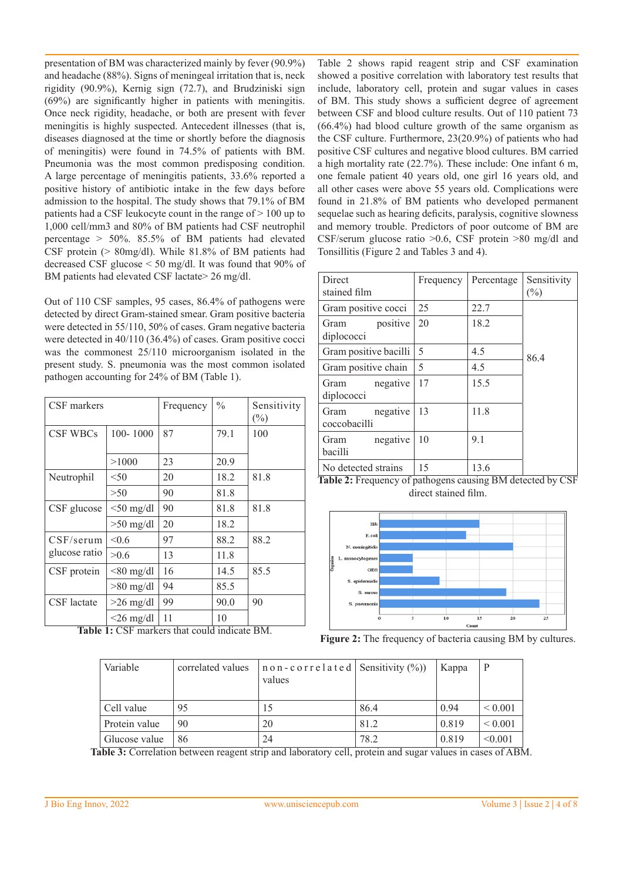presentation of BM was characterized mainly by fever (90.9%) and headache (88%). Signs of meningeal irritation that is, neck rigidity (90.9%), Kernig sign (72.7), and Brudziniski sign (69%) are significantly higher in patients with meningitis. Once neck rigidity, headache, or both are present with fever meningitis is highly suspected. Antecedent illnesses (that is, diseases diagnosed at the time or shortly before the diagnosis of meningitis) were found in 74.5% of patients with BM. Pneumonia was the most common predisposing condition. A large percentage of meningitis patients, 33.6% reported a positive history of antibiotic intake in the few days before admission to the hospital. The study shows that 79.1% of BM patients had a CSF leukocyte count in the range of  $> 100$  up to 1,000 cell/mm3 and 80% of BM patients had CSF neutrophil percentage > 50%. 85.5% of BM patients had elevated CSF protein (> 80mg/dl). While 81.8% of BM patients had decreased CSF glucose < 50 mg/dl. It was found that 90% of BM patients had elevated CSF lactate> 26 mg/dl.

Out of 110 CSF samples, 95 cases, 86.4% of pathogens were detected by direct Gram-stained smear. Gram positive bacteria were detected in 55/110, 50% of cases. Gram negative bacteria were detected in 40/110 (36.4%) of cases. Gram positive cocci was the commonest 25/110 microorganism isolated in the present study. S. pneumonia was the most common isolated pathogen accounting for 24% of BM (Table 1).

| CSF markers        |                 | Frequency | $\frac{0}{0}$ | Sensitivity<br>$(\%)$ |  |
|--------------------|-----------------|-----------|---------------|-----------------------|--|
| <b>CSF WBCs</b>    | 100-1000        | 87        | 79.1          | 100                   |  |
|                    | >1000           | 23        | 20.9          |                       |  |
| Neutrophil         | < 50            | 20        | 18.2          | 81.8                  |  |
|                    | >50             | 90        | 81.8          |                       |  |
| CSF glucose        | $<$ 50 mg/dl    | 90        | 81.8          | 81.8                  |  |
|                    | $>50$ mg/dl     | 20        | 18.2          |                       |  |
| CSF/serum          | < 0.6           | 97        | 88.2          | 88.2                  |  |
| glucose ratio      | > 0.6           | 13        | 11.8          |                       |  |
| CSF protein        | $< 80$ mg/dl    | 16        | 14.5          | 85.5                  |  |
|                    | $>80$ mg/dl     | 94        | 85.5          |                       |  |
| <b>CSF</b> lactate | $>26$ mg/dl     | 99        | 90.0          | 90                    |  |
|                    | $\leq$ 26 mg/dl | 11        | 10            |                       |  |

**Table 1:** CSF markers that could indicate BM.

Table 2 shows rapid reagent strip and CSF examination showed a positive correlation with laboratory test results that include, laboratory cell, protein and sugar values in cases of BM. This study shows a sufficient degree of agreement between CSF and blood culture results. Out of 110 patient 73 (66.4%) had blood culture growth of the same organism as the CSF culture. Furthermore, 23(20.9%) of patients who had positive CSF cultures and negative blood cultures. BM carried a high mortality rate (22.7%). These include: One infant 6 m, one female patient 40 years old, one girl 16 years old, and all other cases were above 55 years old. Complications were found in 21.8% of BM patients who developed permanent sequelae such as hearing deficits, paralysis, cognitive slowness and memory trouble. Predictors of poor outcome of BM are CSF/serum glucose ratio >0.6, CSF protein >80 mg/dl and Tonsillitis (Figure 2 and Tables 3 and 4).

| Direct<br>stained film           | Frequency | Percentage | Sensitivity<br>(%) |
|----------------------------------|-----------|------------|--------------------|
| Gram positive cocci              | 25        | 22.7       |                    |
| positive<br>Gram<br>diplococci   | 20        | 18.2       |                    |
| Gram positive bacilli            | 5         | 4.5        | 86.4               |
| Gram positive chain              | 5         | 4.5        |                    |
| negative<br>Gram<br>diplococci   | 17        | 15.5       |                    |
| negative<br>Gram<br>coccobacilli | 13        | 11.8       |                    |
| negative<br>Gram<br>bacilli      | 10        | 9.1        |                    |
| No detected strains              | 15        | 13.6       |                    |

**Table 2:** Frequency of pathogens causing BM detected by CSF direct stained film.



**Figure 2:** The frequency of bacteria causing BM by cultures.

| Variable                           | correlated values | $n \circ n$ - c o r r e l a t e d   Sensitivity $(\%)$<br>values |      | Kappa | P                  |
|------------------------------------|-------------------|------------------------------------------------------------------|------|-------|--------------------|
| Cell value                         | 95                | 15                                                               | 86.4 | 0.94  | ${}_{0.001}$       |
| Protein value                      | 90                | 20                                                               | 81.2 | 0.819 | ${}< 0.001$        |
| Glucose value<br>$\cdots$ $\cdots$ | 86                | 24<br>11<br>1 1 1                                                | 78.2 | 0.819 | < 0.001<br>$C + D$ |

**Table 3:** Correlation between reagent strip and laboratory cell, protein and sugar values in cases of ABM.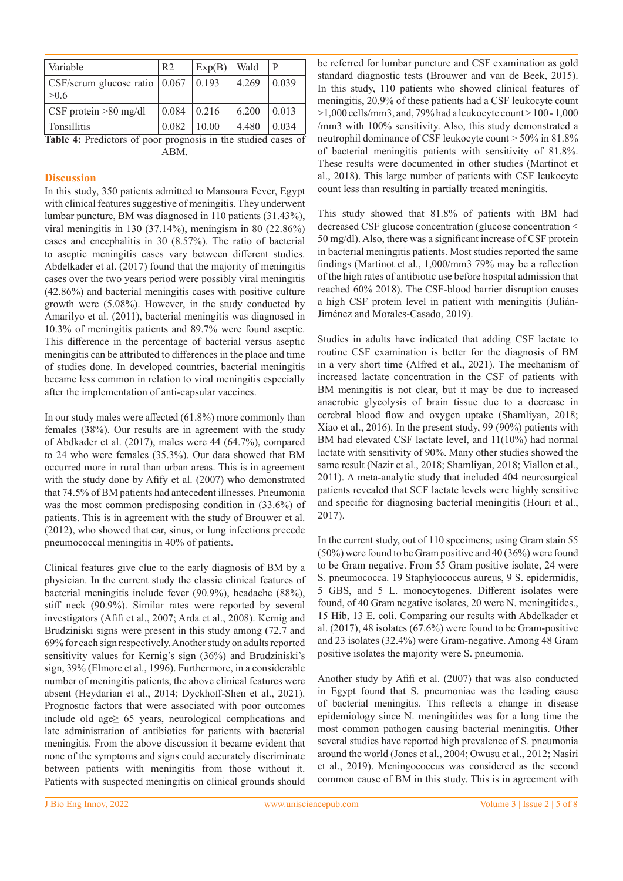| Variable                                        | R <sub>2</sub> | Exp(B) | Wald  | P     |
|-------------------------------------------------|----------------|--------|-------|-------|
| $\text{CSF/serum glucose ratio}$ 0.067<br>> 0.6 |                | 0.193  | 4.269 | 0.039 |
| $\vert$ CSF protein $>80$ mg/dl                 | 0.084          | 0.216  | 6.200 | 0.013 |
| <b>Tonsillitis</b><br>$\sim$                    | 0.082          | 10.00  | 4.480 | 0.034 |

**Table 4:** Predictors of poor prognosis in the studied cases of ABM.

## **Discussion**

In this study, 350 patients admitted to Mansoura Fever, Egypt with clinical features suggestive of meningitis. They underwent lumbar puncture, BM was diagnosed in 110 patients (31.43%), viral meningitis in 130 (37.14%), meningism in 80 (22.86%) cases and encephalitis in 30 (8.57%). The ratio of bacterial to aseptic meningitis cases vary between different studies. Abdelkader et al. (2017) found that the majority of meningitis cases over the two years period were possibly viral meningitis (42.86%) and bacterial meningitis cases with positive culture growth were (5.08%). However, in the study conducted by Amarilyo et al. (2011), bacterial meningitis was diagnosed in 10.3% of meningitis patients and 89.7% were found aseptic. This difference in the percentage of bacterial versus aseptic meningitis can be attributed to differences in the place and time of studies done. In developed countries, bacterial meningitis became less common in relation to viral meningitis especially after the implementation of anti-capsular vaccines.

In our study males were affected (61.8%) more commonly than females (38%). Our results are in agreement with the study of Abdkader et al. (2017), males were 44 (64.7%), compared to 24 who were females (35.3%). Our data showed that BM occurred more in rural than urban areas. This is in agreement with the study done by Afify et al. (2007) who demonstrated that 74.5% of BM patients had antecedent illnesses. Pneumonia was the most common predisposing condition in (33.6%) of patients. This is in agreement with the study of Brouwer et al. (2012), who showed that ear, sinus, or lung infections precede pneumococcal meningitis in 40% of patients.

Clinical features give clue to the early diagnosis of BM by a physician. In the current study the classic clinical features of bacterial meningitis include fever (90.9%), headache (88%), stiff neck (90.9%). Similar rates were reported by several investigators (Afifi et al., 2007; Arda et al., 2008). Kernig and Brudziniski signs were present in this study among (72.7 and 69% for each sign respectively. Another study on adults reported sensitivity values for Kernig's sign (36%) and Brudziniski's sign, 39% (Elmore et al., 1996). Furthermore, in a considerable number of meningitis patients, the above clinical features were absent (Heydarian et al., 2014; Dyckhoff-Shen et al., 2021). Prognostic factors that were associated with poor outcomes include old age≥ 65 years, neurological complications and late administration of antibiotics for patients with bacterial meningitis. From the above discussion it became evident that none of the symptoms and signs could accurately discriminate between patients with meningitis from those without it. Patients with suspected meningitis on clinical grounds should

be referred for lumbar puncture and CSF examination as gold standard diagnostic tests (Brouwer and van de Beek, 2015). In this study, 110 patients who showed clinical features of meningitis, 20.9% of these patients had a CSF leukocyte count  $>1,000$  cells/mm3, and, 79% had a leukocyte count  $>100$  - 1,000 /mm3 with 100% sensitivity. Also, this study demonstrated a neutrophil dominance of CSF leukocyte count > 50% in 81.8% of bacterial meningitis patients with sensitivity of 81.8%. These results were documented in other studies (Martinot et al., 2018). This large number of patients with CSF leukocyte count less than resulting in partially treated meningitis.

This study showed that 81.8% of patients with BM had decreased CSF glucose concentration (glucose concentration < 50 mg/dl). Also, there was a significant increase of CSF protein in bacterial meningitis patients. Most studies reported the same findings (Martinot et al., 1,000/mm3 79% may be a reflection of the high rates of antibiotic use before hospital admission that reached 60% 2018). The CSF-blood barrier disruption causes a high CSF protein level in patient with meningitis (Julián-Jiménez and Morales-Casado, 2019).

Studies in adults have indicated that adding CSF lactate to routine CSF examination is better for the diagnosis of BM in a very short time (Alfred et al., 2021). The mechanism of increased lactate concentration in the CSF of patients with BM meningitis is not clear, but it may be due to increased anaerobic glycolysis of brain tissue due to a decrease in cerebral blood flow and oxygen uptake (Shamliyan, 2018; Xiao et al., 2016). In the present study, 99 (90%) patients with BM had elevated CSF lactate level, and 11(10%) had normal lactate with sensitivity of 90%. Many other studies showed the same result (Nazir et al., 2018; Shamliyan, 2018; Viallon et al., 2011). A meta-analytic study that included 404 neurosurgical patients revealed that SCF lactate levels were highly sensitive and specific for diagnosing bacterial meningitis (Houri et al., 2017).

In the current study, out of 110 specimens; using Gram stain 55 (50%) were found to be Gram positive and 40 (36%) were found to be Gram negative. From 55 Gram positive isolate, 24 were S. pneumococca. 19 Staphylococcus aureus, 9 S. epidermidis, 5 GBS, and 5 L. monocytogenes. Different isolates were found, of 40 Gram negative isolates, 20 were N. meningitides., 15 Hib, 13 E. coli. Comparing our results with Abdelkader et al. (2017), 48 isolates (67.6%) were found to be Gram-positive and 23 isolates (32.4%) were Gram-negative. Among 48 Gram positive isolates the majority were S. pneumonia.

Another study by Afifi et al. (2007) that was also conducted in Egypt found that S. pneumoniae was the leading cause of bacterial meningitis. This reflects a change in disease epidemiology since N. meningitides was for a long time the most common pathogen causing bacterial meningitis. Other several studies have reported high prevalence of S. pneumonia around the world (Jones et al., 2004; Owusu et al., 2012; Nasiri et al., 2019). Meningococcus was considered as the second common cause of BM in this study. This is in agreement with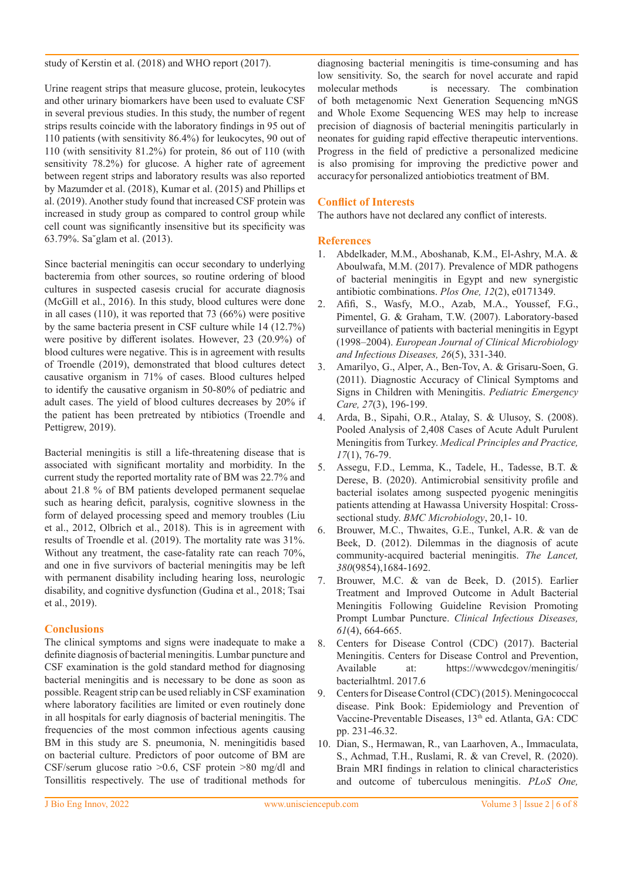study of Kerstin et al. (2018) and WHO report (2017).

Urine reagent strips that measure glucose, protein, leukocytes and other urinary biomarkers have been used to evaluate CSF in several previous studies. In this study, the number of regent strips results coincide with the laboratory findings in 95 out of 110 patients (with sensitivity 86.4%) for leukocytes, 90 out of 110 (with sensitivity 81.2%) for protein, 86 out of 110 (with sensitivity 78.2%) for glucose. A higher rate of agreement between regent strips and laboratory results was also reported by Mazumder et al. (2018), Kumar et al. (2015) and Phillips et al. (2019). Another study found that increased CSF protein was increased in study group as compared to control group while cell count was significantly insensitive but its specificity was 63.79%. Sa˘glam et al. (2013).

Since bacterial meningitis can occur secondary to underlying bacteremia from other sources, so routine ordering of blood cultures in suspected casesis crucial for accurate diagnosis (McGill et al., 2016). In this study, blood cultures were done in all cases (110), it was reported that 73 (66%) were positive by the same bacteria present in CSF culture while 14 (12.7%) were positive by different isolates. However, 23 (20.9%) of blood cultures were negative. This is in agreement with results of Troendle (2019), demonstrated that blood cultures detect causative organism in 71% of cases. Blood cultures helped to identify the causative organism in 50-80% of pediatric and adult cases. The yield of blood cultures decreases by 20% if the patient has been pretreated by ntibiotics (Troendle and Pettigrew, 2019).

Bacterial meningitis is still a life-threatening disease that is associated with significant mortality and morbidity. In the current study the reported mortality rate of BM was 22.7% and about 21.8 % of BM patients developed permanent sequelae such as hearing deficit, paralysis, cognitive slowness in the form of delayed processing speed and memory troubles (Liu et al., 2012, Olbrich et al., 2018). This is in agreement with results of Troendle et al. (2019). The mortality rate was 31%. Without any treatment, the case-fatality rate can reach 70%, and one in five survivors of bacterial meningitis may be left with permanent disability including hearing loss, neurologic disability, and cognitive dysfunction (Gudina et al., 2018; Tsai et al., 2019).

## **Conclusions**

The clinical symptoms and signs were inadequate to make a definite diagnosis of bacterial meningitis. Lumbar puncture and CSF examination is the gold standard method for diagnosing bacterial meningitis and is necessary to be done as soon as possible. Reagent strip can be used reliably in CSF examination where laboratory facilities are limited or even routinely done in all hospitals for early diagnosis of bacterial meningitis. The frequencies of the most common infectious agents causing BM in this study are S. pneumonia, N. meningitidis based on bacterial culture. Predictors of poor outcome of BM are CSF/serum glucose ratio >0.6, CSF protein >80 mg/dl and Tonsillitis respectively. The use of traditional methods for

diagnosing bacterial meningitis is time-consuming and has low sensitivity. So, the search for novel accurate and rapid molecular methods is necessary. The combination of both metagenomic Next Generation Sequencing mNGS and Whole Exome Sequencing WES may help to increase precision of diagnosis of bacterial meningitis particularly in neonates for guiding rapid effective therapeutic interventions. Progress in the field of predictive a personalized medicine is also promising for improving the predictive power and accuracyfor personalized antiobiotics treatment of BM.

## **Conflict of Interests**

The authors have not declared any conflict of interests.

## **References**

- 1. Abdelkader, M.M., Aboshanab, K.M., El-Ashry, M.A. & Aboulwafa, M.M. (2017). Prevalence of MDR pathogens of bacterial meningitis in Egypt and new synergistic antibiotic combinations. *Plos One, 12*(2), e0171349.
- 2. Afifi, S., Wasfy, M.O., Azab, M.A., Youssef, F.G., Pimentel, G. & Graham, T.W. (2007). Laboratory-based surveillance of patients with bacterial meningitis in Egypt (1998–2004). *European Journal of Clinical Microbiology and Infectious Diseases, 26*(5), 331-340.
- 3. Amarilyo, G., Alper, A., Ben-Tov, A. & Grisaru-Soen, G. (2011). Diagnostic Accuracy of Clinical Symptoms and Signs in Children with Meningitis. *Pediatric Emergency Care, 27*(3), 196-199.
- 4. Arda, B., Sipahi, O.R., Atalay, S. & Ulusoy, S. (2008). Pooled Analysis of 2,408 Cases of Acute Adult Purulent Meningitis from Turkey. *Medical Principles and Practice, 17*(1), 76-79.
- 5. Assegu, F.D., Lemma, K., Tadele, H., Tadesse, B.T. & Derese, B. (2020). Antimicrobial sensitivity profile and bacterial isolates among suspected pyogenic meningitis patients attending at Hawassa University Hospital: Crosssectional study. *BMC Microbiology*, 20,1- 10.
- 6. Brouwer, M.C., Thwaites, G.E., Tunkel, A.R. & van de Beek, D. (2012). Dilemmas in the diagnosis of acute community-acquired bacterial meningitis. *The Lancet, 380*(9854),1684-1692.
- 7. Brouwer, M.C. & van de Beek, D. (2015). Earlier Treatment and Improved Outcome in Adult Bacterial Meningitis Following Guideline Revision Promoting Prompt Lumbar Puncture. *Clinical Infectious Diseases, 61*(4), 664-665.
- 8. Centers for Disease Control (CDC) (2017). Bacterial Meningitis. Centers for Disease Control and Prevention, Available at: https://wwwcdcgov/meningitis/ bacterialhtml. 2017.6
- 9. Centers for Disease Control (CDC) (2015). Meningococcal disease. Pink Book: Epidemiology and Prevention of Vaccine-Preventable Diseases, 13th ed. Atlanta, GA: CDC pp. 231-46.32.
- 10. Dian, S., Hermawan, R., van Laarhoven, A., Immaculata, S., Achmad, T.H., Ruslami, R. & van Crevel, R. (2020). Brain MRI findings in relation to clinical characteristics and outcome of tuberculous meningitis. *PLoS One,*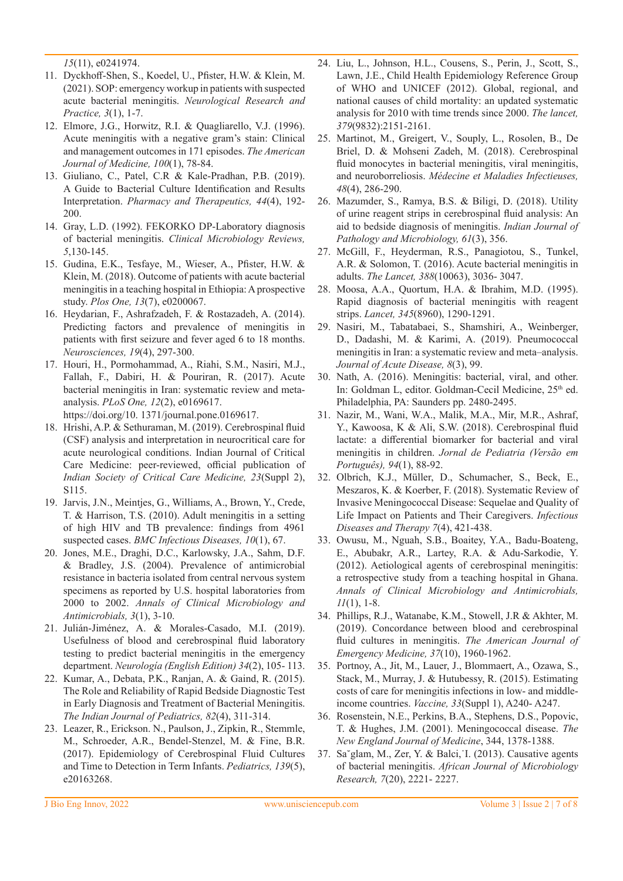*15*(11), e0241974.

- 11. Dyckhoff-Shen, S., Koedel, U., Pfister, H.W. & Klein, M. (2021). SOP: emergency workup in patients with suspected acute bacterial meningitis. *Neurological Research and Practice, 3*(1), 1-7.
- 12. Elmore, J.G., Horwitz, R.I. & Quagliarello, V.J. (1996). Acute meningitis with a negative gram's stain: Clinical and management outcomes in 171 episodes. *The American Journal of Medicine, 100*(1), 78-84.
- 13. Giuliano, C., Patel, C.R & Kale-Pradhan, P.B. (2019). A Guide to Bacterial Culture Identification and Results Interpretation. *Pharmacy and Therapeutics, 44*(4), 192- 200.
- 14. Gray, L.D. (1992). FEKORKO DP-Laboratory diagnosis of bacterial meningitis. *Clinical Microbiology Reviews, 5*,130-145.
- 15. Gudina, E.K., Tesfaye, M., Wieser, A., Pfister, H.W. & Klein, M. (2018). Outcome of patients with acute bacterial meningitis in a teaching hospital in Ethiopia: A prospective study. *Plos One, 13*(7), e0200067.
- 16. Heydarian, F., Ashrafzadeh, F. & Rostazadeh, A. (2014). Predicting factors and prevalence of meningitis in patients with first seizure and fever aged 6 to 18 months. *Neurosciences, 19*(4), 297-300.
- 17. Houri, H., Pormohammad, A., Riahi, S.M., Nasiri, M.J., Fallah, F., Dabiri, H. & Pouriran, R. (2017). Acute bacterial meningitis in Iran: systematic review and metaanalysis. *PLoS One, 12*(2), e0169617. https://doi.org/10. 1371/journal.pone.0169617.
- 18. Hrishi, A.P. & Sethuraman, M. (2019). Cerebrospinal fluid (CSF) analysis and interpretation in neurocritical care for acute neurological conditions. Indian Journal of Critical Care Medicine: peer-reviewed, official publication of *Indian Society of Critical Care Medicine, 23*(Suppl 2), S115.
- 19. Jarvis, J.N., Meintjes, G., Williams, A., Brown, Y., Crede, T. & Harrison, T.S. (2010). Adult meningitis in a setting of high HIV and TB prevalence: findings from 4961 suspected cases. *BMC Infectious Diseases, 10*(1), 67.
- 20. Jones, M.E., Draghi, D.C., Karlowsky, J.A., Sahm, D.F. & Bradley, J.S. (2004). Prevalence of antimicrobial resistance in bacteria isolated from central nervous system specimens as reported by U.S. hospital laboratories from 2000 to 2002. *Annals of Clinical Microbiology and Antimicrobials, 3*(1), 3-10.
- 21. Julián-Jiménez, A. & Morales-Casado, M.I. (2019). Usefulness of blood and cerebrospinal fluid laboratory testing to predict bacterial meningitis in the emergency department. *Neurología (English Edition) 34*(2), 105- 113.
- 22. Kumar, A., Debata, P.K., Ranjan, A. & Gaind, R. (2015). The Role and Reliability of Rapid Bedside Diagnostic Test in Early Diagnosis and Treatment of Bacterial Meningitis. *The Indian Journal of Pediatrics, 82*(4), 311-314.
- 23. Leazer, R., Erickson. N., Paulson, J., Zipkin, R., Stemmle, M., Schroeder, A.R., Bendel-Stenzel, M. & Fine, B.R. (2017). Epidemiology of Cerebrospinal Fluid Cultures and Time to Detection in Term Infants. *Pediatrics, 139*(5), e20163268.
- 24. Liu, L., Johnson, H.L., Cousens, S., Perin, J., Scott, S., Lawn, J.E., Child Health Epidemiology Reference Group of WHO and UNICEF (2012). Global, regional, and national causes of child mortality: an updated systematic analysis for 2010 with time trends since 2000. *The lancet, 379*(9832):2151-2161.
- 25. Martinot, M., Greigert, V., Souply, L., Rosolen, B., De Briel, D. & Mohseni Zadeh, M. (2018). Cerebrospinal fluid monocytes in bacterial meningitis, viral meningitis, and neuroborreliosis. *Médecine et Maladies Infectieuses, 48*(4), 286-290.
- 26. Mazumder, S., Ramya, B.S. & Biligi, D. (2018). Utility of urine reagent strips in cerebrospinal fluid analysis: An aid to bedside diagnosis of meningitis. *Indian Journal of Pathology and Microbiology, 61*(3), 356.
- 27. McGill, F., Heyderman, R.S., Panagiotou, S., Tunkel, A.R. & Solomon, T. (2016). Acute bacterial meningitis in adults. *The Lancet, 388*(10063), 3036- 3047.
- 28. Moosa, A.A., Quortum, H.A. & Ibrahim, M.D. (1995). Rapid diagnosis of bacterial meningitis with reagent strips. *Lancet, 345*(8960), 1290-1291.
- 29. Nasiri, M., Tabatabaei, S., Shamshiri, A., Weinberger, D., Dadashi, M. & Karimi, A. (2019). Pneumococcal meningitis in Iran: a systematic review and meta–analysis. *Journal of Acute Disease, 8*(3), 99.
- 30. Nath, A. (2016). Meningitis: bacterial, viral, and other. In: Goldman L, editor. Goldman-Cecil Medicine, 25<sup>th</sup> ed. Philadelphia, PA: Saunders pp. 2480-2495.
- 31. Nazir, M., Wani, W.A., Malik, M.A., Mir, M.R., Ashraf, Y., Kawoosa, K & Ali, S.W. (2018). Cerebrospinal fluid lactate: a differential biomarker for bacterial and viral meningitis in children. *Jornal de Pediatria (Versão em Português), 94*(1), 88-92.
- 32. Olbrich, K.J., Müller, D., Schumacher, S., Beck, E., Meszaros, K. & Koerber, F. (2018). Systematic Review of Invasive Meningococcal Disease: Sequelae and Quality of Life Impact on Patients and Their Caregivers. *Infectious Diseases and Therapy 7*(4), 421-438.
- 33. Owusu, M., Nguah, S.B., Boaitey, Y.A., Badu-Boateng, E., Abubakr, A.R., Lartey, R.A. & Adu-Sarkodie, Y. (2012). Aetiological agents of cerebrospinal meningitis: a retrospective study from a teaching hospital in Ghana. *Annals of Clinical Microbiology and Antimicrobials, 11*(1), 1-8.
- 34. Phillips, R.J., Watanabe, K.M., Stowell, J.R & Akhter, M. (2019). Concordance between blood and cerebrospinal fluid cultures in meningitis. *The American Journal of Emergency Medicine, 37*(10), 1960-1962.
- 35. Portnoy, A., Jit, M., Lauer, J., Blommaert, A., Ozawa, S., Stack, M., Murray, J. & Hutubessy, R. (2015). Estimating costs of care for meningitis infections in low- and middleincome countries. *Vaccine, 33*(Suppl 1), A240- A247.
- 36. Rosenstein, N.E., Perkins, B.A., Stephens, D.S., Popovic, T. & Hughes, J.M. (2001). Meningococcal disease. *The New England Journal of Medicine*, 344, 1378-1388.
- 37. Sa˘glam, M., Zer, Y. & Balci,˙I. (2013). Causative agents of bacterial meningitis. *African Journal of Microbiology Research, 7*(20), 2221- 2227.